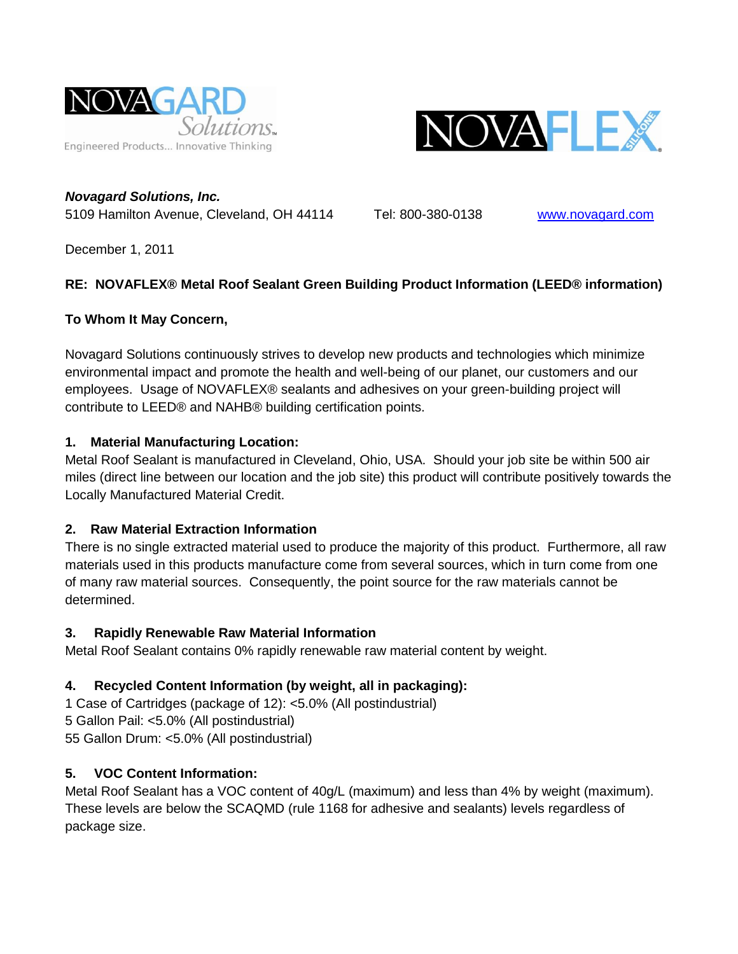



*Novagard Solutions, Inc.* 5109 Hamilton Avenue, Cleveland, OH 44114 Tel: 800-380-0138 [www.novagard.com](http://www.novagard.com/)

December 1, 2011

## **RE: NOVAFLEX® Metal Roof Sealant Green Building Product Information (LEED® information)**

## **To Whom It May Concern,**

Novagard Solutions continuously strives to develop new products and technologies which minimize environmental impact and promote the health and well-being of our planet, our customers and our employees. Usage of NOVAFLEX® sealants and adhesives on your green-building project will contribute to LEED® and NAHB® building certification points.

## **1. Material Manufacturing Location:**

Metal Roof Sealant is manufactured in Cleveland, Ohio, USA. Should your job site be within 500 air miles (direct line between our location and the job site) this product will contribute positively towards the Locally Manufactured Material Credit.

# **2. Raw Material Extraction Information**

There is no single extracted material used to produce the majority of this product. Furthermore, all raw materials used in this products manufacture come from several sources, which in turn come from one of many raw material sources. Consequently, the point source for the raw materials cannot be determined.

### **3. Rapidly Renewable Raw Material Information**

Metal Roof Sealant contains 0% rapidly renewable raw material content by weight.

# **4. Recycled Content Information (by weight, all in packaging):**

1 Case of Cartridges (package of 12): <5.0% (All postindustrial) 5 Gallon Pail: <5.0% (All postindustrial) 55 Gallon Drum: <5.0% (All postindustrial)

# **5. VOC Content Information:**

Metal Roof Sealant has a VOC content of 40g/L (maximum) and less than 4% by weight (maximum). These levels are below the SCAQMD (rule 1168 for adhesive and sealants) levels regardless of package size.